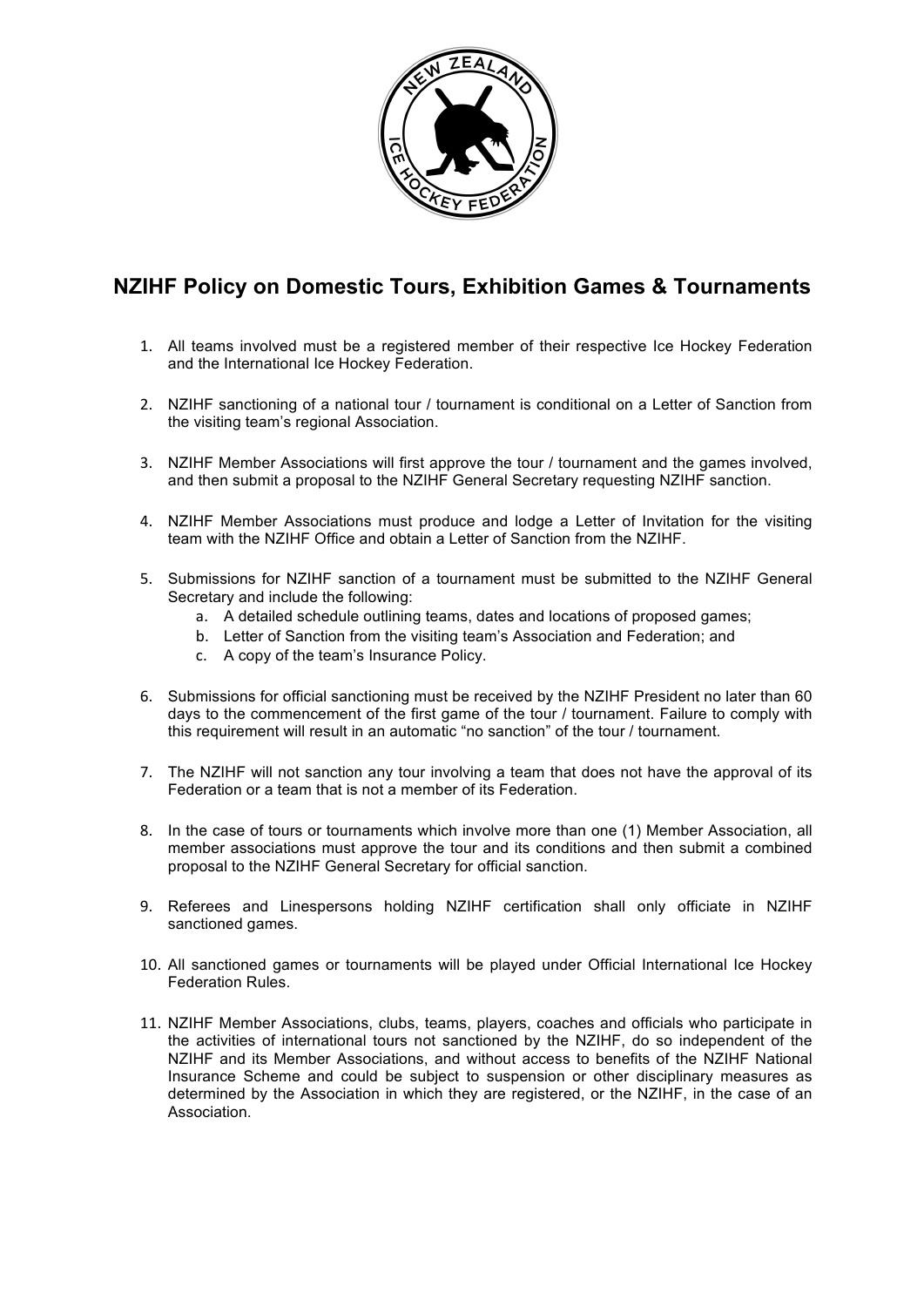

## **NZIHF Policy on Domestic Tours, Exhibition Games & Tournaments**

- 1. All teams involved must be a registered member of their respective Ice Hockey Federation and the International Ice Hockey Federation.
- 2. NZIHF sanctioning of a national tour / tournament is conditional on a Letter of Sanction from the visiting team's regional Association.
- 3. NZIHF Member Associations will first approve the tour / tournament and the games involved, and then submit a proposal to the NZIHF General Secretary requesting NZIHF sanction.
- 4. NZIHF Member Associations must produce and lodge a Letter of Invitation for the visiting team with the NZIHF Office and obtain a Letter of Sanction from the NZIHF.
- 5. Submissions for NZIHF sanction of a tournament must be submitted to the NZIHF General Secretary and include the following:
	- a. A detailed schedule outlining teams, dates and locations of proposed games;
	- b. Letter of Sanction from the visiting team's Association and Federation; and
	- c. A copy of the team's Insurance Policy.
- 6. Submissions for official sanctioning must be received by the NZIHF President no later than 60 days to the commencement of the first game of the tour / tournament. Failure to comply with this requirement will result in an automatic "no sanction" of the tour / tournament.
- 7. The NZIHF will not sanction any tour involving a team that does not have the approval of its Federation or a team that is not a member of its Federation.
- 8. In the case of tours or tournaments which involve more than one (1) Member Association, all member associations must approve the tour and its conditions and then submit a combined proposal to the NZIHF General Secretary for official sanction.
- 9. Referees and Linespersons holding NZIHF certification shall only officiate in NZIHF sanctioned games.
- 10. All sanctioned games or tournaments will be played under Official International Ice Hockey Federation Rules.
- 11. NZIHF Member Associations, clubs, teams, players, coaches and officials who participate in the activities of international tours not sanctioned by the NZIHF, do so independent of the NZIHF and its Member Associations, and without access to benefits of the NZIHF National Insurance Scheme and could be subject to suspension or other disciplinary measures as determined by the Association in which they are registered, or the NZIHF, in the case of an Association.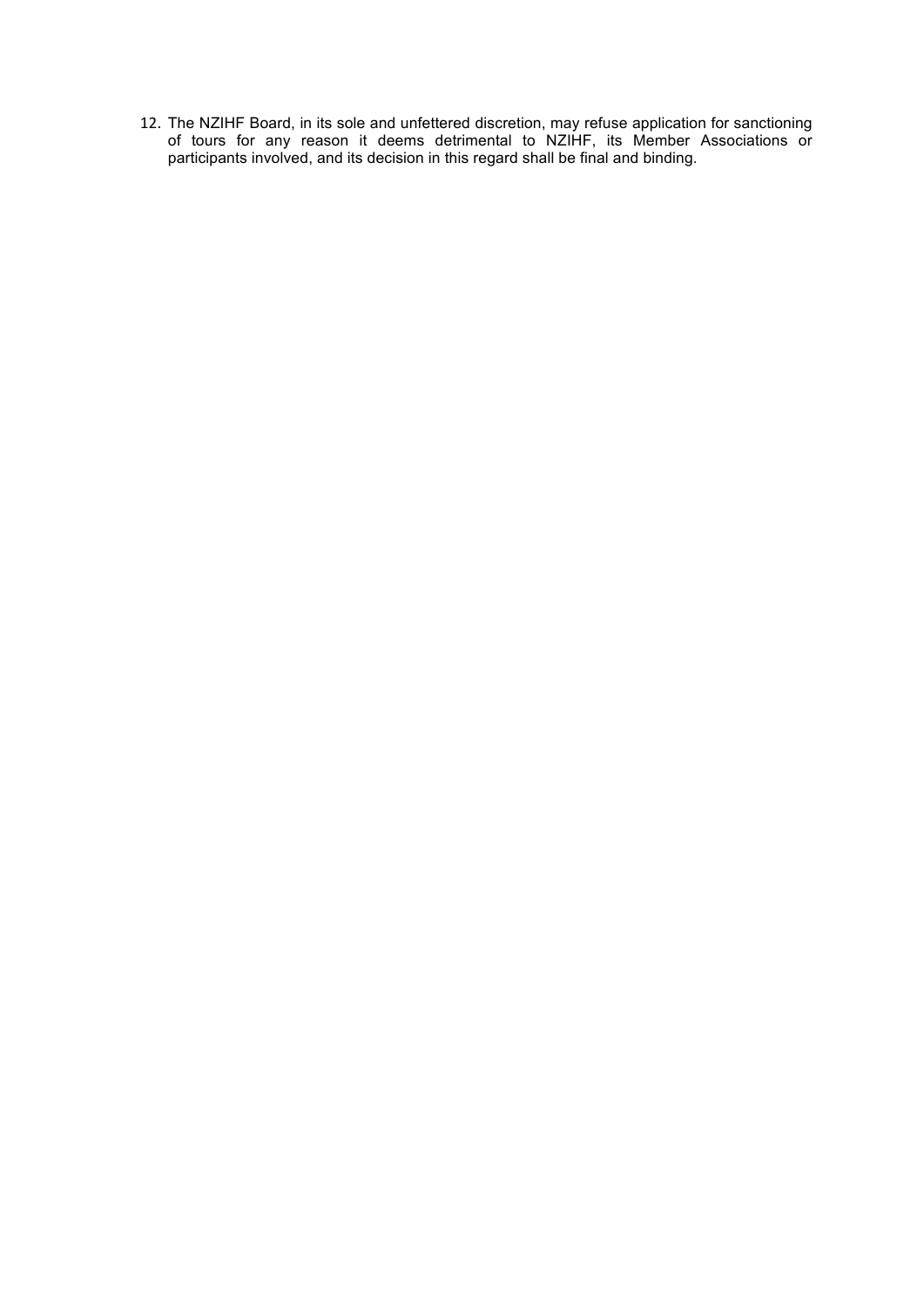12. The NZIHF Board, in its sole and unfettered discretion, may refuse application for sanctioning of tours for any reason it deems detrimental to NZIHF, its Member Associations or participants involved, and its decision in this regard shall be final and binding.